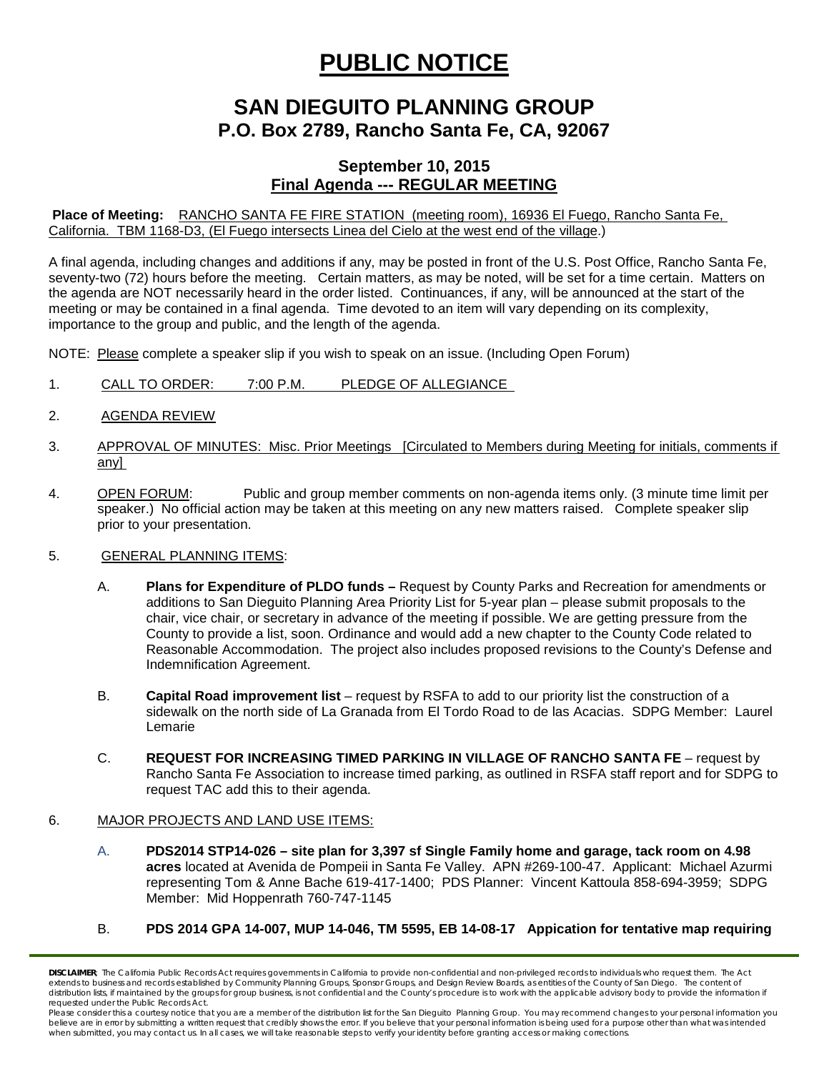# **PUBLIC NOTICE**

## **SAN DIEGUITO PLANNING GROUP P.O. Box 2789, Rancho Santa Fe, CA, 92067**

### **September 10, 2015 Final Agenda --- REGULAR MEETING**

**Place of Meeting:** RANCHO SANTA FE FIRE STATION (meeting room), 16936 El Fuego, Rancho Santa Fe, California. TBM 1168-D3, (El Fuego intersects Linea del Cielo at the west end of the village.)

A final agenda, including changes and additions if any, may be posted in front of the U.S. Post Office, Rancho Santa Fe, seventy-two (72) hours before the meeting. Certain matters, as may be noted, will be set for a time certain. Matters on the agenda are NOT necessarily heard in the order listed. Continuances, if any, will be announced at the start of the meeting or may be contained in a final agenda. Time devoted to an item will vary depending on its complexity, importance to the group and public, and the length of the agenda.

NOTE: Please complete a speaker slip if you wish to speak on an issue. (Including Open Forum)

- 1. CALL TO ORDER: 7:00 P.M. PLEDGE OF ALLEGIANCE
- 2. AGENDA REVIEW
- 3. APPROVAL OF MINUTES: Misc. Prior Meetings [Circulated to Members during Meeting for initials, comments if any]
- 4. OPEN FORUM: Public and group member comments on non-agenda items only. (3 minute time limit per speaker.) No official action may be taken at this meeting on any new matters raised. Complete speaker slip prior to your presentation.

#### 5. GENERAL PLANNING ITEMS:

- A. **Plans for Expenditure of PLDO funds –** Request by County Parks and Recreation for amendments or additions to San Dieguito Planning Area Priority List for 5-year plan – please submit proposals to the chair, vice chair, or secretary in advance of the meeting if possible. We are getting pressure from the County to provide a list, soon. Ordinance and would add a new chapter to the County Code related to Reasonable Accommodation. The project also includes proposed revisions to the County's Defense and Indemnification Agreement.
- B. **Capital Road improvement list**  request by RSFA to add to our priority list the construction of a sidewalk on the north side of La Granada from El Tordo Road to de las Acacias. SDPG Member: Laurel Lemarie
- C. **REQUEST FOR INCREASING TIMED PARKING IN VILLAGE OF RANCHO SANTA FE**  request by Rancho Santa Fe Association to increase timed parking, as outlined in RSFA staff report and for SDPG to request TAC add this to their agenda.

#### 6. MAJOR PROJECTS AND LAND USE ITEMS:

- A. **PDS2014 STP14-026 – site plan for 3,397 sf Single Family home and garage, tack room on 4.98 acres** located at Avenida de Pompeii in Santa Fe Valley. APN #269-100-47. Applicant: Michael Azurmi representing Tom & Anne Bache 619-417-1400; PDS Planner: Vincent Kattoula 858-694-3959; SDPG Member: Mid Hoppenrath 760-747-1145
- B. **PDS 2014 GPA 14-007, MUP 14-046, TM 5595, EB 14-08-17 Appication for tentative map requiring**

**DISCLAIMER**; The California Public Records Act requires governments in California to provide non-confidential and non-privileged records to individuals who request them. The Act extends to business and records established by Community Planning Groups, Sponsor Groups, and Design Review Boards, as entities of the County of San Diego. The content of distribution lists, if maintained by the groups for group business, is not confidential and the County's procedure is to work with the applicable advisory body to provide the information if *requested under the Public Records Act.*

Please consider this a courtesy notice that you are a member of the distribution list for the San Dieguito Planning Group. You may recommend changes to your personal information you believe are in error by submitting a written request that credibly shows the error. If you believe that your personal information is being used for a purpose other than what was intended<br>when submitted, you may contact us.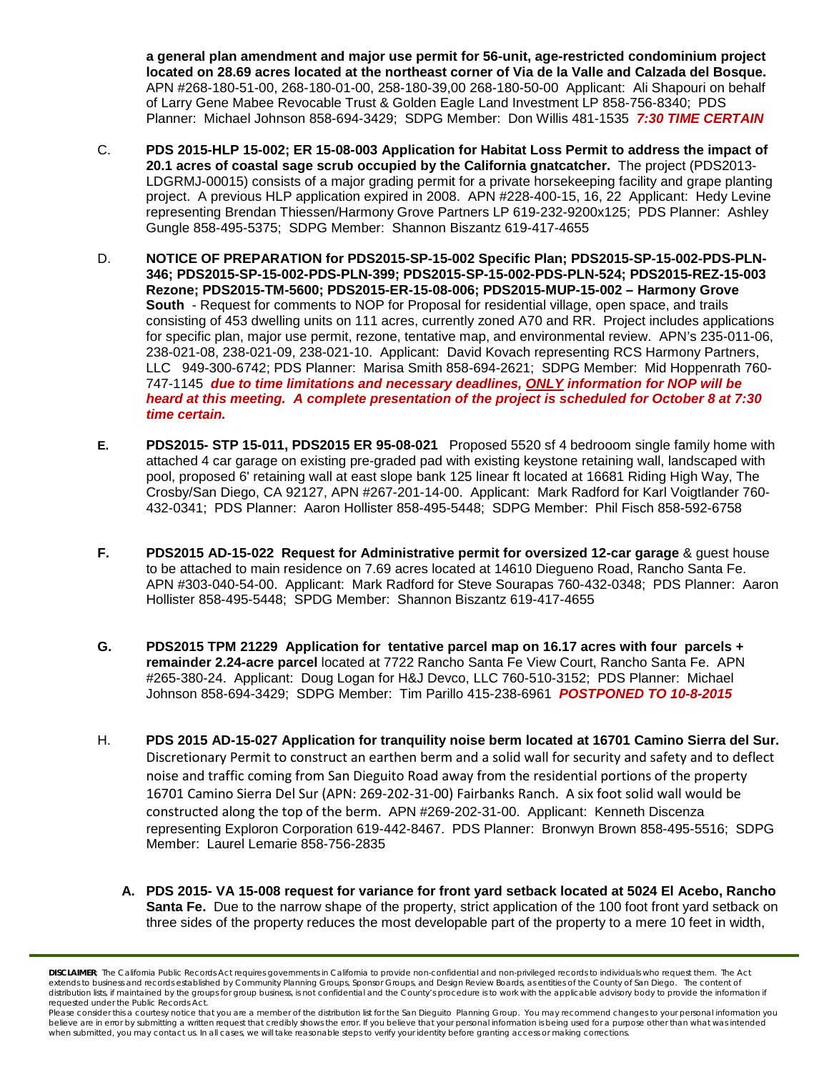**a general plan amendment and major use permit for 56-unit, age-restricted condominium project located on 28.69 acres located at the northeast corner of Via de la Valle and Calzada del Bosque.**  APN #268-180-51-00, 268-180-01-00, 258-180-39,00 268-180-50-00 Applicant: Ali Shapouri on behalf of Larry Gene Mabee Revocable Trust & Golden Eagle Land Investment LP 858-756-8340; PDS Planner: Michael Johnson 858-694-3429; SDPG Member: Don Willis 481-1535 *7:30 TIME CERTAIN*

- C. **PDS 2015-HLP 15-002; ER 15-08-003 Application for Habitat Loss Permit to address the impact of 20.1 acres of coastal sage scrub occupied by the California gnatcatcher.** The project (PDS2013- LDGRMJ-00015) consists of a major grading permit for a private horsekeeping facility and grape planting project. A previous HLP application expired in 2008. APN #228-400-15, 16, 22 Applicant: Hedy Levine representing Brendan Thiessen/Harmony Grove Partners LP 619-232-9200x125; PDS Planner: Ashley Gungle 858-495-5375; SDPG Member: Shannon Biszantz 619-417-4655
- D. **NOTICE OF PREPARATION for PDS2015-SP-15-002 Specific Plan; PDS2015-SP-15-002-PDS-PLN-346; PDS2015-SP-15-002-PDS-PLN-399; PDS2015-SP-15-002-PDS-PLN-524; PDS2015-REZ-15-003 Rezone; PDS2015-TM-5600; PDS2015-ER-15-08-006; PDS2015-MUP-15-002 – Harmony Grove South** - Request for comments to NOP for Proposal for residential village, open space, and trails consisting of 453 dwelling units on 111 acres, currently zoned A70 and RR. Project includes applications for specific plan, major use permit, rezone, tentative map, and environmental review. APN's 235-011-06, 238-021-08, 238-021-09, 238-021-10. Applicant: David Kovach representing RCS Harmony Partners, LLC 949-300-6742; PDS Planner: Marisa Smith 858-694-2621; SDPG Member: Mid Hoppenrath 760- 747-1145 *due to time limitations and necessary deadlines, ONLY information for NOP will be heard at this meeting. A complete presentation of the project is scheduled for October 8 at 7:30 time certain.*
- **E. PDS2015- STP 15-011, PDS2015 ER 95-08-021** Proposed 5520 sf 4 bedrooom single family home with attached 4 car garage on existing pre-graded pad with existing keystone retaining wall, landscaped with pool, proposed 6' retaining wall at east slope bank 125 linear ft located at 16681 Riding High Way, The Crosby/San Diego, CA 92127, APN #267-201-14-00. Applicant: Mark Radford for Karl Voigtlander 760- 432-0341; PDS Planner: Aaron Hollister 858-495-5448; SDPG Member: Phil Fisch 858-592-6758
- **F. PDS2015 AD-15-022 Request for Administrative permit for oversized 12-car garage** & guest house to be attached to main residence on 7.69 acres located at 14610 Diegueno Road, Rancho Santa Fe. APN #303-040-54-00. Applicant: Mark Radford for Steve Sourapas 760-432-0348; PDS Planner: Aaron Hollister 858-495-5448; SPDG Member: Shannon Biszantz 619-417-4655
- **G. PDS2015 TPM 21229 Application for tentative parcel map on 16.17 acres with four parcels + remainder 2.24-acre parcel** located at 7722 Rancho Santa Fe View Court, Rancho Santa Fe. APN #265-380-24. Applicant: Doug Logan for H&J Devco, LLC 760-510-3152; PDS Planner: Michael Johnson 858-694-3429; SDPG Member: Tim Parillo 415-238-6961 *POSTPONED TO 10-8-2015*
- H. **PDS 2015 AD-15-027 Application for tranquility noise berm located at 16701 Camino Sierra del Sur.**  Discretionary Permit to construct an earthen berm and a solid wall for security and safety and to deflect noise and traffic coming from San Dieguito Road away from the residential portions of the property 16701 Camino Sierra Del Sur (APN: 269-202-31-00) Fairbanks Ranch. A six foot solid wall would be constructed along the top of the berm. APN #269-202-31-00. Applicant: Kenneth Discenza representing Exploron Corporation 619-442-8467. PDS Planner: Bronwyn Brown 858-495-5516; SDPG Member: Laurel Lemarie 858-756-2835
	- **A. PDS 2015- VA 15-008 request for variance for front yard setback located at 5024 El Acebo, Rancho Santa Fe.** Due to the narrow shape of the property, strict application of the 100 foot front yard setback on three sides of the property reduces the most developable part of the property to a mere 10 feet in width,

**DISCLAIMER**<sup>*;*</sup> The California Public Records Act requires governments in California to provide non-confidential and non-privileged records to individuals who request them. The Act extends to business and records established by Community Planning Groups, Sponsor Groups, and Design Review Boards, as entities of the County of San Diego. The content of distribution lists, if maintained by the groups for group business, is not confidential and the County's procedure is to work with the applicable advisory body to provide the information if *requested under the Public Records Act.*

*Please consider this a courtesy notice that you are a member of the distribution list for the San Dieguito Planning Group. You may recommend changes to your personal information you*  believe are in error by submitting a written request that credibly shows the error. If you believe that your personal information is being used for a purpose other than what was intended<br>when submitted, you may contact us.